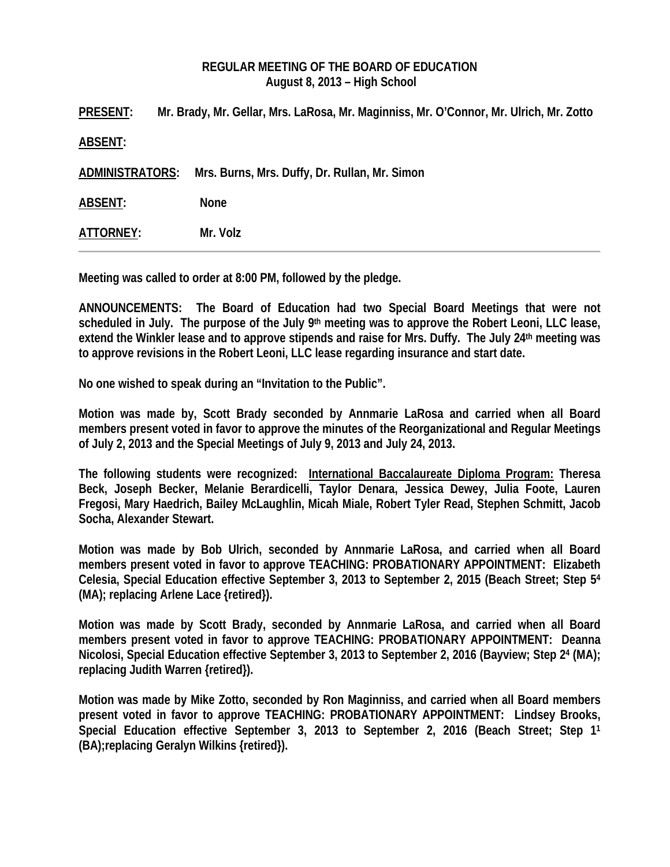## **REGULAR MEETING OF THE BOARD OF EDUCATION August 8, 2013 – High School**

**PRESENT: Mr. Brady, Mr. Gellar, Mrs. LaRosa, Mr. Maginniss, Mr. O'Connor, Mr. Ulrich, Mr. Zotto ABSENT: ADMINISTRATORS: Mrs. Burns, Mrs. Duffy, Dr. Rullan, Mr. Simon ABSENT: None ATTORNEY: Mr. Volz** 

**Meeting was called to order at 8:00 PM, followed by the pledge.** 

**ANNOUNCEMENTS: The Board of Education had two Special Board Meetings that were not scheduled in July. The purpose of the July 9th meeting was to approve the Robert Leoni, LLC lease, extend the Winkler lease and to approve stipends and raise for Mrs. Duffy. The July 24th meeting was to approve revisions in the Robert Leoni, LLC lease regarding insurance and start date.** 

**No one wished to speak during an "Invitation to the Public".** 

**Motion was made by, Scott Brady seconded by Annmarie LaRosa and carried when all Board members present voted in favor to approve the minutes of the Reorganizational and Regular Meetings of July 2, 2013 and the Special Meetings of July 9, 2013 and July 24, 2013.** 

**The following students were recognized: International Baccalaureate Diploma Program: Theresa Beck, Joseph Becker, Melanie Berardicelli, Taylor Denara, Jessica Dewey, Julia Foote, Lauren Fregosi, Mary Haedrich, Bailey McLaughlin, Micah Miale, Robert Tyler Read, Stephen Schmitt, Jacob Socha, Alexander Stewart.** 

**Motion was made by Bob Ulrich, seconded by Annmarie LaRosa, and carried when all Board members present voted in favor to approve TEACHING: PROBATIONARY APPOINTMENT: Elizabeth Celesia, Special Education effective September 3, 2013 to September 2, 2015 (Beach Street; Step 54 (MA); replacing Arlene Lace {retired}).** 

**Motion was made by Scott Brady, seconded by Annmarie LaRosa, and carried when all Board members present voted in favor to approve TEACHING: PROBATIONARY APPOINTMENT: Deanna Nicolosi, Special Education effective September 3, 2013 to September 2, 2016 (Bayview; Step 24 (MA); replacing Judith Warren {retired}).** 

**Motion was made by Mike Zotto, seconded by Ron Maginniss, and carried when all Board members present voted in favor to approve TEACHING: PROBATIONARY APPOINTMENT: Lindsey Brooks, Special Education effective September 3, 2013 to September 2, 2016 (Beach Street; Step 11 (BA);replacing Geralyn Wilkins {retired}).**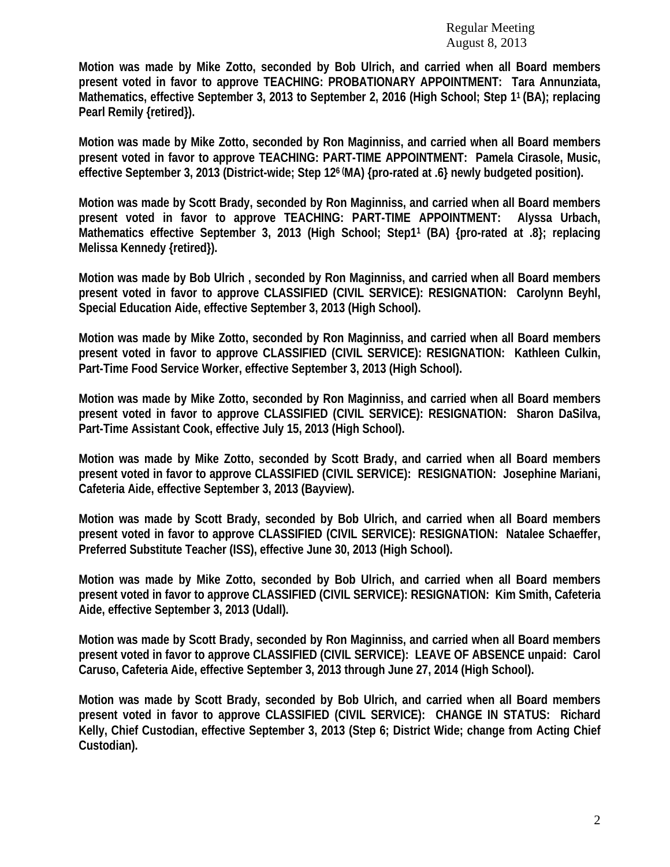**Motion was made by Mike Zotto, seconded by Bob Ulrich, and carried when all Board members present voted in favor to approve TEACHING: PROBATIONARY APPOINTMENT: Tara Annunziata, Mathematics, effective September 3, 2013 to September 2, 2016 (High School; Step 11 (BA); replacing Pearl Remily {retired}).** 

**Motion was made by Mike Zotto, seconded by Ron Maginniss, and carried when all Board members present voted in favor to approve TEACHING: PART-TIME APPOINTMENT: Pamela Cirasole, Music, effective September 3, 2013 (District-wide; Step 126 (MA) {pro-rated at .6} newly budgeted position).**

**Motion was made by Scott Brady, seconded by Ron Maginniss, and carried when all Board members present voted in favor to approve TEACHING: PART-TIME APPOINTMENT: Alyssa Urbach, Mathematics effective September 3, 2013 (High School; Step11 (BA) {pro-rated at .8}; replacing Melissa Kennedy {retired}).** 

**Motion was made by Bob Ulrich , seconded by Ron Maginniss, and carried when all Board members present voted in favor to approve CLASSIFIED (CIVIL SERVICE): RESIGNATION: Carolynn Beyhl, Special Education Aide, effective September 3, 2013 (High School).** 

**Motion was made by Mike Zotto, seconded by Ron Maginniss, and carried when all Board members present voted in favor to approve CLASSIFIED (CIVIL SERVICE): RESIGNATION: Kathleen Culkin, Part-Time Food Service Worker, effective September 3, 2013 (High School).** 

**Motion was made by Mike Zotto, seconded by Ron Maginniss, and carried when all Board members present voted in favor to approve CLASSIFIED (CIVIL SERVICE): RESIGNATION: Sharon DaSilva, Part-Time Assistant Cook, effective July 15, 2013 (High School).** 

**Motion was made by Mike Zotto, seconded by Scott Brady, and carried when all Board members present voted in favor to approve CLASSIFIED (CIVIL SERVICE): RESIGNATION: Josephine Mariani, Cafeteria Aide, effective September 3, 2013 (Bayview).** 

**Motion was made by Scott Brady, seconded by Bob Ulrich, and carried when all Board members present voted in favor to approve CLASSIFIED (CIVIL SERVICE): RESIGNATION: Natalee Schaeffer, Preferred Substitute Teacher (ISS), effective June 30, 2013 (High School).** 

**Motion was made by Mike Zotto, seconded by Bob Ulrich, and carried when all Board members present voted in favor to approve CLASSIFIED (CIVIL SERVICE): RESIGNATION: Kim Smith, Cafeteria Aide, effective September 3, 2013 (Udall).** 

**Motion was made by Scott Brady, seconded by Ron Maginniss, and carried when all Board members present voted in favor to approve CLASSIFIED (CIVIL SERVICE): LEAVE OF ABSENCE unpaid: Carol Caruso, Cafeteria Aide, effective September 3, 2013 through June 27, 2014 (High School).** 

**Motion was made by Scott Brady, seconded by Bob Ulrich, and carried when all Board members present voted in favor to approve CLASSIFIED (CIVIL SERVICE): CHANGE IN STATUS: Richard Kelly, Chief Custodian, effective September 3, 2013 (Step 6; District Wide; change from Acting Chief Custodian).**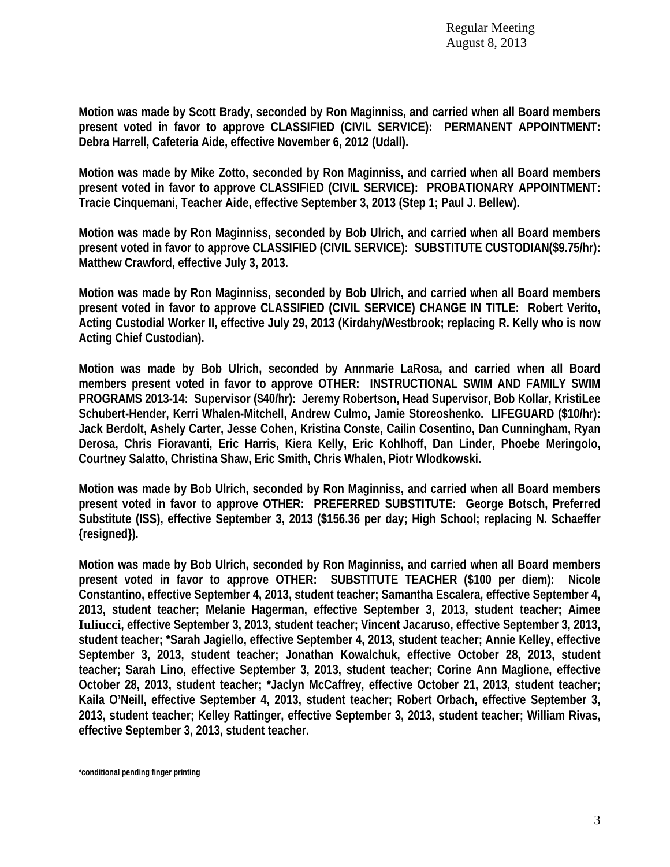**Motion was made by Scott Brady, seconded by Ron Maginniss, and carried when all Board members present voted in favor to approve CLASSIFIED (CIVIL SERVICE): PERMANENT APPOINTMENT: Debra Harrell, Cafeteria Aide, effective November 6, 2012 (Udall).** 

**Motion was made by Mike Zotto, seconded by Ron Maginniss, and carried when all Board members present voted in favor to approve CLASSIFIED (CIVIL SERVICE): PROBATIONARY APPOINTMENT: Tracie Cinquemani, Teacher Aide, effective September 3, 2013 (Step 1; Paul J. Bellew).** 

**Motion was made by Ron Maginniss, seconded by Bob Ulrich, and carried when all Board members present voted in favor to approve CLASSIFIED (CIVIL SERVICE): SUBSTITUTE CUSTODIAN(\$9.75/hr): Matthew Crawford, effective July 3, 2013.** 

**Motion was made by Ron Maginniss, seconded by Bob Ulrich, and carried when all Board members present voted in favor to approve CLASSIFIED (CIVIL SERVICE) CHANGE IN TITLE: Robert Verito, Acting Custodial Worker II, effective July 29, 2013 (Kirdahy/Westbrook; replacing R. Kelly who is now Acting Chief Custodian).** 

**Motion was made by Bob Ulrich, seconded by Annmarie LaRosa, and carried when all Board members present voted in favor to approve OTHER: INSTRUCTIONAL SWIM AND FAMILY SWIM PROGRAMS 2013-14: Supervisor (\$40/hr): Jeremy Robertson, Head Supervisor, Bob Kollar, KristiLee Schubert-Hender, Kerri Whalen-Mitchell, Andrew Culmo, Jamie Storeoshenko. LIFEGUARD (\$10/hr): Jack Berdolt, Ashely Carter, Jesse Cohen, Kristina Conste, Cailin Cosentino, Dan Cunningham, Ryan Derosa, Chris Fioravanti, Eric Harris, Kiera Kelly, Eric Kohlhoff, Dan Linder, Phoebe Meringolo, Courtney Salatto, Christina Shaw, Eric Smith, Chris Whalen, Piotr Wlodkowski.** 

**Motion was made by Bob Ulrich, seconded by Ron Maginniss, and carried when all Board members present voted in favor to approve OTHER: PREFERRED SUBSTITUTE: George Botsch, Preferred Substitute (ISS), effective September 3, 2013 (\$156.36 per day; High School; replacing N. Schaeffer {resigned}).** 

**Motion was made by Bob Ulrich, seconded by Ron Maginniss, and carried when all Board members present voted in favor to approve OTHER: SUBSTITUTE TEACHER (\$100 per diem): Nicole Constantino, effective September 4, 2013, student teacher; Samantha Escalera, effective September 4, 2013, student teacher; Melanie Hagerman, effective September 3, 2013, student teacher; Aimee Iuliucci, effective September 3, 2013, student teacher; Vincent Jacaruso, effective September 3, 2013, student teacher; \*Sarah Jagiello, effective September 4, 2013, student teacher; Annie Kelley, effective September 3, 2013, student teacher; Jonathan Kowalchuk, effective October 28, 2013, student teacher; Sarah Lino, effective September 3, 2013, student teacher; Corine Ann Maglione, effective October 28, 2013, student teacher; \*Jaclyn McCaffrey, effective October 21, 2013, student teacher; Kaila O'Neill, effective September 4, 2013, student teacher; Robert Orbach, effective September 3, 2013, student teacher; Kelley Rattinger, effective September 3, 2013, student teacher; William Rivas, effective September 3, 2013, student teacher.**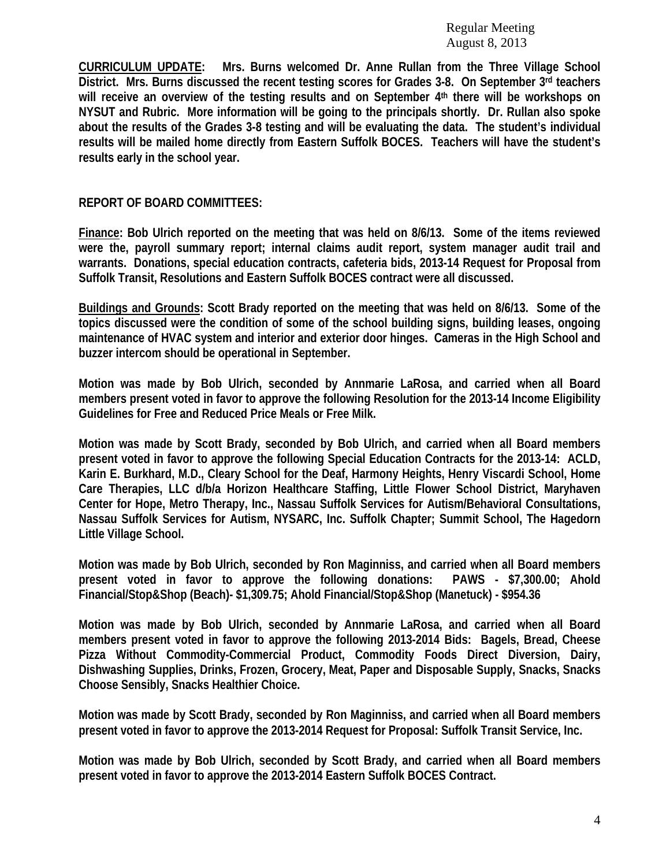**CURRICULUM UPDATE: Mrs. Burns welcomed Dr. Anne Rullan from the Three Village School District. Mrs. Burns discussed the recent testing scores for Grades 3-8. On September 3rd teachers**  will receive an overview of the testing results and on September 4<sup>th</sup> there will be workshops on **NYSUT and Rubric. More information will be going to the principals shortly. Dr. Rullan also spoke about the results of the Grades 3-8 testing and will be evaluating the data. The student's individual results will be mailed home directly from Eastern Suffolk BOCES. Teachers will have the student's results early in the school year.** 

## **REPORT OF BOARD COMMITTEES:**

**Finance: Bob Ulrich reported on the meeting that was held on 8/6/13. Some of the items reviewed were the, payroll summary report; internal claims audit report, system manager audit trail and warrants. Donations, special education contracts, cafeteria bids, 2013-14 Request for Proposal from Suffolk Transit, Resolutions and Eastern Suffolk BOCES contract were all discussed.** 

**Buildings and Grounds: Scott Brady reported on the meeting that was held on 8/6/13. Some of the topics discussed were the condition of some of the school building signs, building leases, ongoing maintenance of HVAC system and interior and exterior door hinges. Cameras in the High School and buzzer intercom should be operational in September.** 

**Motion was made by Bob Ulrich, seconded by Annmarie LaRosa, and carried when all Board members present voted in favor to approve the following Resolution for the 2013-14 Income Eligibility Guidelines for Free and Reduced Price Meals or Free Milk.** 

**Motion was made by Scott Brady, seconded by Bob Ulrich, and carried when all Board members present voted in favor to approve the following Special Education Contracts for the 2013-14: ACLD, Karin E. Burkhard, M.D., Cleary School for the Deaf, Harmony Heights, Henry Viscardi School, Home Care Therapies, LLC d/b/a Horizon Healthcare Staffing, Little Flower School District, Maryhaven Center for Hope, Metro Therapy, Inc., Nassau Suffolk Services for Autism/Behavioral Consultations, Nassau Suffolk Services for Autism, NYSARC, Inc. Suffolk Chapter; Summit School, The Hagedorn Little Village School.** 

**Motion was made by Bob Ulrich, seconded by Ron Maginniss, and carried when all Board members present voted in favor to approve the following donations: PAWS - \$7,300.00; Ahold Financial/Stop&Shop (Beach)- \$1,309.75; Ahold Financial/Stop&Shop (Manetuck) - \$954.36** 

**Motion was made by Bob Ulrich, seconded by Annmarie LaRosa, and carried when all Board members present voted in favor to approve the following 2013-2014 Bids: Bagels, Bread, Cheese Pizza Without Commodity-Commercial Product, Commodity Foods Direct Diversion, Dairy, Dishwashing Supplies, Drinks, Frozen, Grocery, Meat, Paper and Disposable Supply, Snacks, Snacks Choose Sensibly, Snacks Healthier Choice.** 

**Motion was made by Scott Brady, seconded by Ron Maginniss, and carried when all Board members present voted in favor to approve the 2013-2014 Request for Proposal: Suffolk Transit Service, Inc.** 

**Motion was made by Bob Ulrich, seconded by Scott Brady, and carried when all Board members present voted in favor to approve the 2013-2014 Eastern Suffolk BOCES Contract.**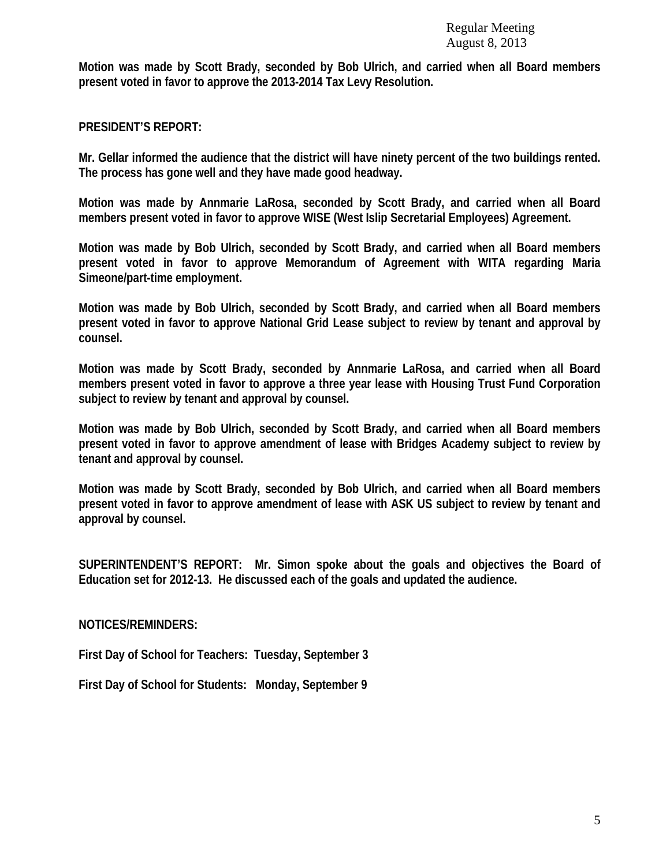**Motion was made by Scott Brady, seconded by Bob Ulrich, and carried when all Board members present voted in favor to approve the 2013-2014 Tax Levy Resolution.** 

**PRESIDENT'S REPORT:** 

**Mr. Gellar informed the audience that the district will have ninety percent of the two buildings rented. The process has gone well and they have made good headway.** 

**Motion was made by Annmarie LaRosa, seconded by Scott Brady, and carried when all Board members present voted in favor to approve WISE (West Islip Secretarial Employees) Agreement.** 

**Motion was made by Bob Ulrich, seconded by Scott Brady, and carried when all Board members present voted in favor to approve Memorandum of Agreement with WITA regarding Maria Simeone/part-time employment.** 

**Motion was made by Bob Ulrich, seconded by Scott Brady, and carried when all Board members present voted in favor to approve National Grid Lease subject to review by tenant and approval by counsel.** 

**Motion was made by Scott Brady, seconded by Annmarie LaRosa, and carried when all Board members present voted in favor to approve a three year lease with Housing Trust Fund Corporation subject to review by tenant and approval by counsel.** 

**Motion was made by Bob Ulrich, seconded by Scott Brady, and carried when all Board members present voted in favor to approve amendment of lease with Bridges Academy subject to review by tenant and approval by counsel.** 

**Motion was made by Scott Brady, seconded by Bob Ulrich, and carried when all Board members present voted in favor to approve amendment of lease with ASK US subject to review by tenant and approval by counsel.** 

**SUPERINTENDENT'S REPORT: Mr. Simon spoke about the goals and objectives the Board of Education set for 2012-13. He discussed each of the goals and updated the audience.** 

**NOTICES/REMINDERS:** 

**First Day of School for Teachers: Tuesday, September 3** 

**First Day of School for Students: Monday, September 9**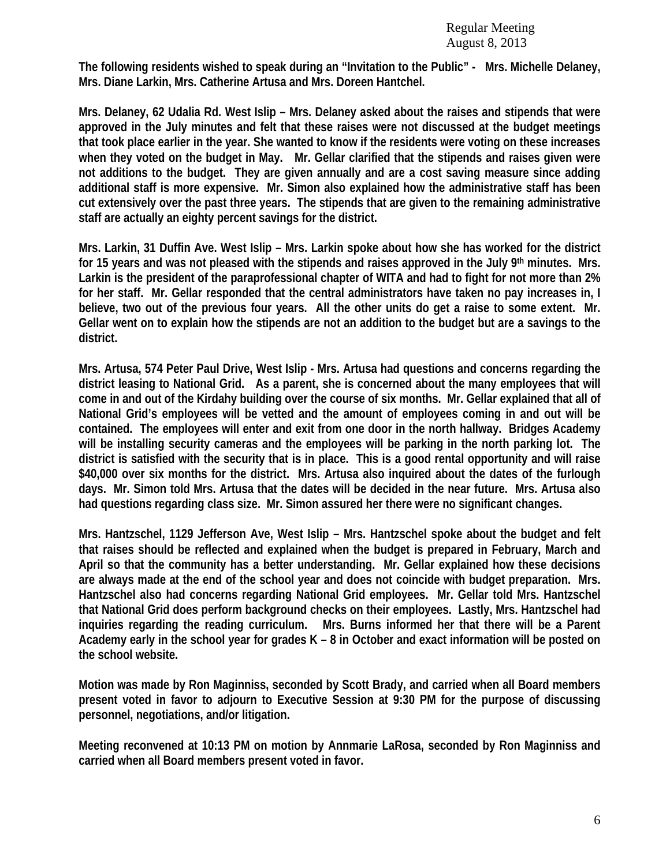**The following residents wished to speak during an "Invitation to the Public" - Mrs. Michelle Delaney, Mrs. Diane Larkin, Mrs. Catherine Artusa and Mrs. Doreen Hantchel.** 

**Mrs. Delaney, 62 Udalia Rd. West Islip – Mrs. Delaney asked about the raises and stipends that were approved in the July minutes and felt that these raises were not discussed at the budget meetings that took place earlier in the year. She wanted to know if the residents were voting on these increases when they voted on the budget in May. Mr. Gellar clarified that the stipends and raises given were not additions to the budget. They are given annually and are a cost saving measure since adding additional staff is more expensive. Mr. Simon also explained how the administrative staff has been cut extensively over the past three years. The stipends that are given to the remaining administrative staff are actually an eighty percent savings for the district.** 

**Mrs. Larkin, 31 Duffin Ave. West Islip – Mrs. Larkin spoke about how she has worked for the district for 15 years and was not pleased with the stipends and raises approved in the July 9th minutes. Mrs. Larkin is the president of the paraprofessional chapter of WITA and had to fight for not more than 2% for her staff. Mr. Gellar responded that the central administrators have taken no pay increases in, I believe, two out of the previous four years. All the other units do get a raise to some extent. Mr. Gellar went on to explain how the stipends are not an addition to the budget but are a savings to the district.** 

**Mrs. Artusa, 574 Peter Paul Drive, West Islip - Mrs. Artusa had questions and concerns regarding the district leasing to National Grid. As a parent, she is concerned about the many employees that will come in and out of the Kirdahy building over the course of six months. Mr. Gellar explained that all of National Grid's employees will be vetted and the amount of employees coming in and out will be contained. The employees will enter and exit from one door in the north hallway. Bridges Academy will be installing security cameras and the employees will be parking in the north parking lot. The district is satisfied with the security that is in place. This is a good rental opportunity and will raise \$40,000 over six months for the district. Mrs. Artusa also inquired about the dates of the furlough days. Mr. Simon told Mrs. Artusa that the dates will be decided in the near future. Mrs. Artusa also had questions regarding class size. Mr. Simon assured her there were no significant changes.** 

**Mrs. Hantzschel, 1129 Jefferson Ave, West Islip – Mrs. Hantzschel spoke about the budget and felt that raises should be reflected and explained when the budget is prepared in February, March and April so that the community has a better understanding. Mr. Gellar explained how these decisions are always made at the end of the school year and does not coincide with budget preparation. Mrs. Hantzschel also had concerns regarding National Grid employees. Mr. Gellar told Mrs. Hantzschel that National Grid does perform background checks on their employees. Lastly, Mrs. Hantzschel had inquiries regarding the reading curriculum. Mrs. Burns informed her that there will be a Parent Academy early in the school year for grades K – 8 in October and exact information will be posted on the school website.** 

**Motion was made by Ron Maginniss, seconded by Scott Brady, and carried when all Board members present voted in favor to adjourn to Executive Session at 9:30 PM for the purpose of discussing personnel, negotiations, and/or litigation.** 

**Meeting reconvened at 10:13 PM on motion by Annmarie LaRosa, seconded by Ron Maginniss and carried when all Board members present voted in favor.**